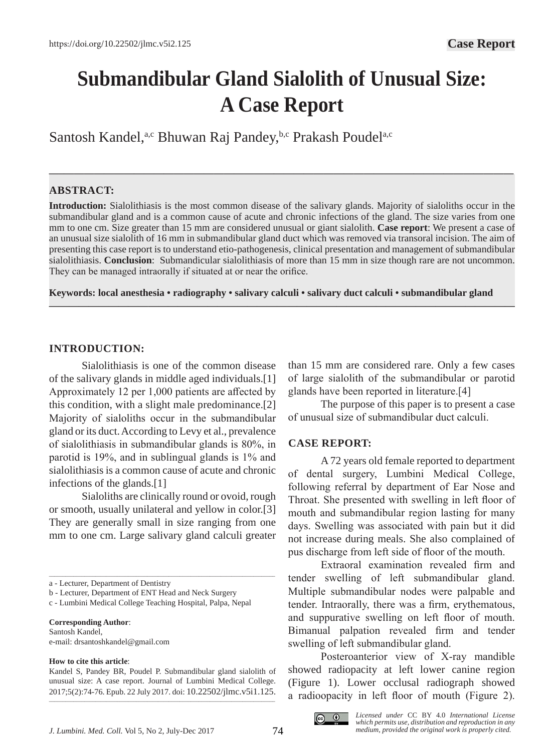# **Submandibular Gland Sialolith of Unusual Size: A Case Report**

Santosh Kandel,<sup>a,c</sup> Bhuwan Raj Pandey,<sup>b,c</sup> Prakash Poudel<sup>a,c</sup>

## **ABSTRACT:**

**Introduction:** Sialolithiasis is the most common disease of the salivary glands. Majority of sialoliths occur in the submandibular gland and is a common cause of acute and chronic infections of the gland. The size varies from one mm to one cm. Size greater than 15 mm are considered unusual or giant sialolith. **Case report**: We present a case of an unusual size sialolith of 16 mm in submandibular gland duct which was removed via transoral incision. The aim of presenting this case report is to understand etio-pathogenesis, clinical presentation and management of submandibular sialolithiasis. **Conclusion**: Submandicular sialolithiasis of more than 15 mm in size though rare are not uncommon. They can be managed intraorally if situated at or near the orifice.

**—–—————————————————————————————————————————————**

**Keywords: local anesthesia • radiography • salivary calculi • salivary duct calculi • submandibular gland**

**———————————————————————————————————————————————**

## **INTRODUCTION:**

Sialolithiasis is one of the common disease of the salivary glands in middle aged individuals.[1] Approximately 12 per 1,000 patients are affected by this condition, with a slight male predominance.[2] Majority of sialoliths occur in the submandibular gland or its duct. According to Levy et al., prevalence of sialolithiasis in submandibular glands is 80%, in parotid is 19%, and in sublingual glands is 1% and sialolithiasis is a common cause of acute and chronic infections of the glands.[1]

Sialoliths are clinically round or ovoid, rough or smooth, usually unilateral and yellow in color.[3] They are generally small in size ranging from one mm to one cm. Large salivary gland calculi greater

\_\_\_\_\_\_\_\_\_\_\_\_\_\_\_\_\_\_\_\_\_\_\_\_\_\_\_\_\_\_\_\_\_\_\_\_\_\_\_\_\_\_\_\_\_\_\_\_\_\_\_\_\_\_\_\_\_\_\_\_\_\_\_\_\_\_\_\_\_\_\_\_\_\_\_\_\_\_\_\_\_\_\_

**Corresponding Author**: Santosh Kandel,

e-mail: drsantoshkandel@gmail.com

#### **How to cite this article**:

than 15 mm are considered rare. Only a few cases of large sialolith of the submandibular or parotid glands have been reported in literature.[4]

The purpose of this paper is to present a case of unusual size of submandibular duct calculi.

## **CASE REPORT:**

A 72 years old female reported to department of dental surgery, Lumbini Medical College, following referral by department of Ear Nose and Throat. She presented with swelling in left floor of mouth and submandibular region lasting for many days. Swelling was associated with pain but it did not increase during meals. She also complained of pus discharge from left side of floor of the mouth.

Extraoral examination revealed firm and tender swelling of left submandibular gland. Multiple submandibular nodes were palpable and tender. Intraorally, there was a firm, erythematous, and suppurative swelling on left floor of mouth. Bimanual palpation revealed firm and tender swelling of left submandibular gland.

Posteroanterior view of X-ray mandible showed radiopacity at left lower canine region (Figure 1). Lower occlusal radiograph showed a radioopacity in left floor of mouth (Figure 2).



a - Lecturer, Department of Dentistry

b - Lecturer, Department of ENT Head and Neck Surgery

c - Lumbini Medical College Teaching Hospital, Palpa, Nepal

Kandel S, Pandey BR, Poudel P. Submandibular gland sialolith of unusual size: A case report. Journal of Lumbini Medical College. 2017;5(2):74-76. Epub. 22 July 2017. doi: 10.22502/jlmc.v5i1.125. \_\_\_\_\_\_\_\_\_\_\_\_\_\_\_\_\_\_\_\_\_\_\_\_\_\_\_\_\_\_\_\_\_\_\_\_\_\_\_\_\_\_\_\_\_\_\_\_\_\_\_\_\_\_\_\_\_\_\_\_\_\_\_\_\_\_\_\_\_\_\_\_\_\_\_\_\_\_\_\_\_\_\_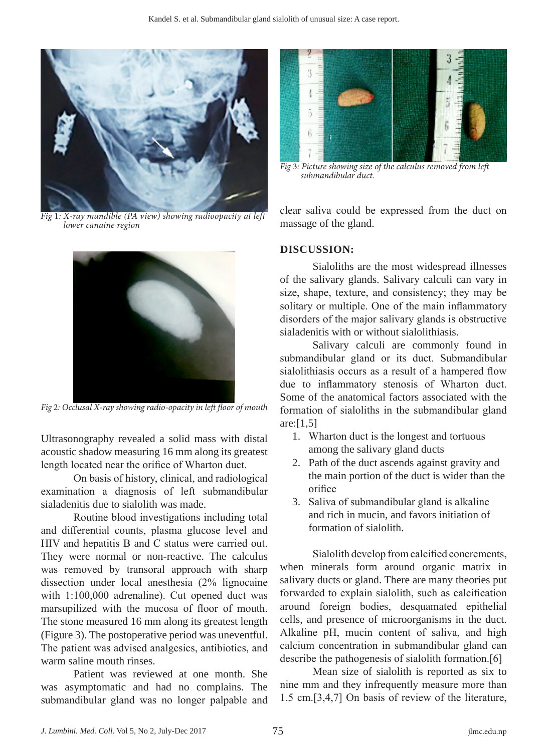

*Fig* 1*: X-ray mandible (PA view) showing radioopacity at left lower canaine region*



*Fig* 2*: Occlusal X-ray showing radio-opacity in left floor of mouth*

Ultrasonography revealed a solid mass with distal acoustic shadow measuring 16 mm along its greatest length located near the orifice of Wharton duct.

On basis of history, clinical, and radiological examination a diagnosis of left submandibular sialadenitis due to sialolith was made.

Routine blood investigations including total and differential counts, plasma glucose level and HIV and hepatitis B and C status were carried out. They were normal or non-reactive. The calculus was removed by transoral approach with sharp dissection under local anesthesia (2% lignocaine with 1:100,000 adrenaline). Cut opened duct was marsupilized with the mucosa of floor of mouth. The stone measured 16 mm along its greatest length (Figure 3). The postoperative period was uneventful. The patient was advised analgesics, antibiotics, and warm saline mouth rinses.

Patient was reviewed at one month. She was asymptomatic and had no complains. The submandibular gland was no longer palpable and



*Fig* 3*: Picture showing size of the calculus removed from left submandibular duct.*

clear saliva could be expressed from the duct on massage of the gland.

## **DISCUSSION:**

Sialoliths are the most widespread illnesses of the salivary glands. Salivary calculi can vary in size, shape, texture, and consistency; they may be solitary or multiple. One of the main inflammatory disorders of the major salivary glands is obstructive sialadenitis with or without sialolithiasis.

Salivary calculi are commonly found in submandibular gland or its duct. Submandibular sialolithiasis occurs as a result of a hampered flow due to inflammatory stenosis of Wharton duct. Some of the anatomical factors associated with the formation of sialoliths in the submandibular gland are:[1,5]

- 1. Wharton duct is the longest and tortuous among the salivary gland ducts
- 2. Path of the duct ascends against gravity and the main portion of the duct is wider than the orifice
- 3. Saliva of submandibular gland is alkaline and rich in mucin, and favors initiation of formation of sialolith.

Sialolith develop from calcified concrements, when minerals form around organic matrix in salivary ducts or gland. There are many theories put forwarded to explain sialolith, such as calcification around foreign bodies, desquamated epithelial cells, and presence of microorganisms in the duct. Alkaline pH, mucin content of saliva, and high calcium concentration in submandibular gland can describe the pathogenesis of sialolith formation.[6]

Mean size of sialolith is reported as six to nine mm and they infrequently measure more than 1.5 cm.[3,4,7] On basis of review of the literature,